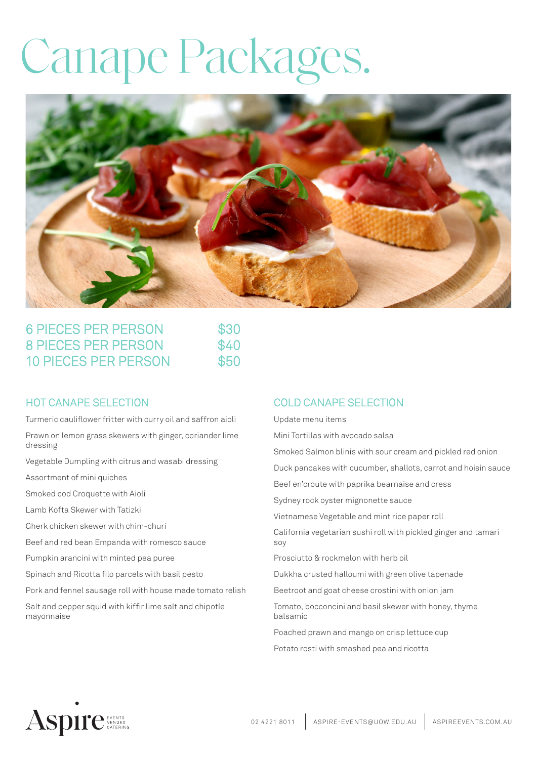# Canape Packages.



| <b>6 PIECES PER PERSON</b><br><b>8 PIECES PER PERSON</b><br><b>10 PIECES PER PERSON</b> | \$30<br>\$40<br>\$50 |
|-----------------------------------------------------------------------------------------|----------------------|
|-----------------------------------------------------------------------------------------|----------------------|

## HOT CANAPE SELECTION

Turmeric cauliflower fritter with curry oil and saffron aioli

Prawn on lemon grass skewers with ginger, coriander lime dressing

Vegetable Dumpling with citrus and wasabi dressing

Assortment of mini quiches

Smoked cod Croquette with Aioli

Lamb Kofta Skewer with Tatizki

Gherk chicken skewer with chim-churi

Beef and red bean Empanda with romesco sauce

Pumpkin arancini with minted pea puree

Spinach and Ricotta filo parcels with basil pesto

Pork and fennel sausage roll with house made tomato relish

Salt and pepper squid with kiffir lime salt and chipotle mayonnaise

## COLD CANAPE SELECTION

Update menu items

Mini Tortillas with avocado salsa

Smoked Salmon blinis with sour cream and pickled red onion

Duck pancakes with cucumber, shallots, carrot and hoisin sauce

Beef en'croute with paprika bearnaise and cress

Sydney rock oyster mignonette sauce

Vietnamese Vegetable and mint rice paper roll

California vegetarian sushi roll with pickled ginger and tamari soy

Prosciutto & rockmelon with herb oil

Dukkha crusted halloumi with green olive tapenade

Beetroot and goat cheese crostini with onion jam

Tomato, bocconcini and basil skewer with honey, thyme balsamic

Poached prawn and mango on crisp lettuce cup Potato rosti with smashed pea and ricotta